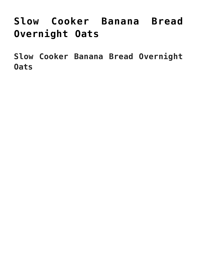# **[Slow Cooker Banana Bread](https://alethiatruefit.com/recipes/slow-cooker-banana-bread-overnight-oats/) [Overnight Oats](https://alethiatruefit.com/recipes/slow-cooker-banana-bread-overnight-oats/)**

**Slow Cooker Banana Bread Overnight Oats**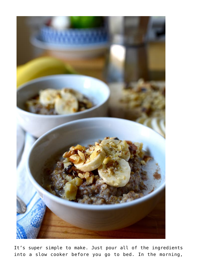

It's super simple to make. Just pour all of the ingredients into a slow cooker before you go to bed. In the morning,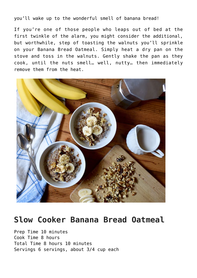you'll wake up to the wonderful smell of banana bread!

If you're one of those people who leaps out of bed at the first twinkle of the alarm, you might consider the additional, but worthwhile, step of toasting the walnuts you'll sprinkle on your Banana Bread Oatmeal. Simply heat a dry pan on the stove and toss in the walnuts. Gently shake the pan as they cook, until the nuts smell… well, nutty… then immediately remove them from the heat.



# **Slow Cooker Banana Bread Oatmeal**

Prep Time 10 minutes Cook Time 8 hours Total Time 8 hours 10 minutes Servings [6](https://www.beachbodyondemand.com/blog/slow-cooker-banana-bread-oatmeal#) servings, about 3/4 cup each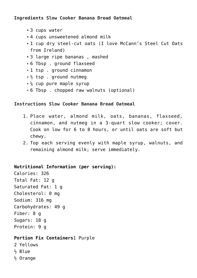### **Ingredients Slow Cooker Banana Bread Oatmeal**

- 3 cups water
- 4 cups unsweetened almond milk
- 1 cup dry steel-cut oats (I love McCann's Steel Cut Oats from Ireland)
- 3 large ripe bananas , mashed
- 6 Tbsp . ground flaxseed
- 1 tsp . ground cinnamon
- $\frac{1}{2}$  tsp. ground nutmeg
- $\frac{1}{4}$  cup pure maple syrup
- 6 Tbsp . chopped raw walnuts (optional)

#### **Instructions Slow Cooker Banana Bread Oatmeal**

- 1. Place water, almond milk, oats, bananas, flaxseed, cinnamon, and nutmeg in a 3-quart slow cooker; cover. Cook on low for 6 to 8 hours, or until oats are soft but chewy.
- 2. Top each serving evenly with maple syrup, walnuts, and remaining almond milk; serve immediately.

#### **Nutritional Information (per serving):**

Calories: 326 Total Fat: 12 g Saturated Fat: 1 g Cholesterol: 0 mg Sodium: 316 mg Carbohydrates: 49 g Fiber: 8 g Sugars: 18 g Protein: 9 g

## **[Portion Fix Containers](https://www.teambeachbody.com/shop/-/shopping/BBPortionFix?ICID=BLOG_PORTIONFIXPGM&refsource=Blog)**1 Purple

- 2 Yellows
- $\frac{1}{2}$  Blue
- $\frac{1}{2}$  Orange